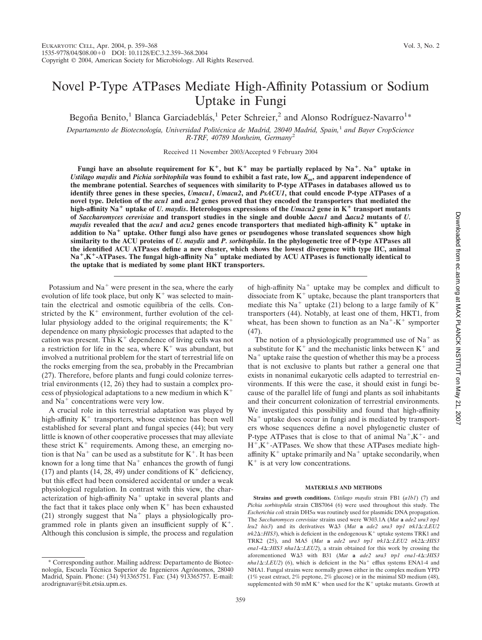# Novel P-Type ATPases Mediate High-Affinity Potassium or Sodium Uptake in Fungi

Begoña Benito,<sup>1</sup> Blanca Garciadeblás,<sup>1</sup> Peter Schreier,<sup>2</sup> and Alonso Rodríguez-Navarro<sup>1\*</sup>

*Departamento de Biotecnología, Universidad Polite´cnica de Madrid, 28040 Madrid, Spain,*<sup>1</sup> *and Bayer CropScience R-TRF, 40789 Monheim, Germany*<sup>2</sup>

Received 11 November 2003/Accepted 9 February 2004

**Fungi have an absolute requirement for K<sup>+</sup>, but K<sup>+</sup> may be partially replaced by Na<sup>+</sup>. Na<sup>+</sup> uptake in** *Ustilago maydis* **and** *Pichia sorbitophila* **was found to exhibit a fast rate, low** *Km***, and apparent independence of the membrane potential. Searches of sequences with similarity to P-type ATPases in databases allowed us to identify three genes in these species,** *Umacu1***,** *Umacu2***, and** *PsACU1***, that could encode P-type ATPases of a novel type. Deletion of the** *acu1* **and** *acu2* **genes proved that they encoded the transporters that mediated the high-affinity Na uptake of** *U. maydis***. Heterologous expressions of the** *Umacu2* **gene in K transport mutants of** *Saccharomyces cerevisiae* and transport studies in the single and double  $Δacu1$  and  $Δacu2$  mutants of *U*. *maydis* revealed that the *acu1* and  $acu2$  genes encode transporters that mediated high-affinity  $K^+$  uptake in **addition to Na uptake. Other fungi also have genes or pseudogenes whose translated sequences show high similarity to the ACU proteins of** *U. maydis* **and** *P. sorbitophila***. In the phylogenetic tree of P-type ATPases all the identified ACU ATPases define a new cluster, which shows the lowest divergence with type IIC, animal Na,K-ATPases. The fungal high-affinity Na uptake mediated by ACU ATPases is functionally identical to the uptake that is mediated by some plant HKT transporters.**

Potassium and  $Na<sup>+</sup>$  were present in the sea, where the early evolution of life took place, but only  $K<sup>+</sup>$  was selected to maintain the electrical and osmotic equilibria of the cells. Constricted by the  $K^+$  environment, further evolution of the cellular physiology added to the original requirements; the  $K^+$ dependence on many physiologic processes that adapted to the cation was present. This  $K^+$  dependence of living cells was not a restriction for life in the sea, where  $K^+$  was abundant, but involved a nutritional problem for the start of terrestrial life on the rocks emerging from the sea, probably in the Precambrian (27). Therefore, before plants and fungi could colonize terrestrial environments (12, 26) they had to sustain a complex process of physiological adaptations to a new medium in which  $K^+$ and  $Na<sup>+</sup>$  concentrations were very low.

A crucial role in this terrestrial adaptation was played by high-affinity  $K^+$  transporters, whose existence has been well established for several plant and fungal species (44); but very little is known of other cooperative processes that may alleviate these strict  $K^+$  requirements. Among these, an emerging notion is that  $Na<sup>+</sup>$  can be used as a substitute for  $K<sup>+</sup>$ . It has been known for a long time that  $Na<sup>+</sup>$  enhances the growth of fungi (17) and plants (14, 28, 49) under conditions of  $K^+$  deficiency, but this effect had been considered accidental or under a weak physiological regulation. In contrast with this view, the characterization of high-affinity  $Na<sup>+</sup>$  uptake in several plants and the fact that it takes place only when  $K^+$  has been exhausted (21) strongly suggest that  $Na<sup>+</sup>$  plays a physiologically programmed role in plants given an insufficient supply of  $K^+$ . Although this conclusion is simple, the process and regulation of high-affinity  $Na<sup>+</sup>$  uptake may be complex and difficult to dissociate from  $K<sup>+</sup>$  uptake, because the plant transporters that mediate this Na<sup>+</sup> uptake (21) belong to a large family of  $K^+$ transporters (44). Notably, at least one of them, HKT1, from wheat, has been shown to function as an  $Na<sup>+</sup>-K<sup>+</sup>$  symporter (47).

The notion of a physiologically programmed use of  $Na<sup>+</sup>$  as a substitute for  $K^+$  and the mechanistic links between  $K^+$  and  $Na<sup>+</sup>$  uptake raise the question of whether this may be a process that is not exclusive to plants but rather a general one that exists in nonanimal eukaryotic cells adapted to terrestrial environments. If this were the case, it should exist in fungi because of the parallel life of fungi and plants as soil inhabitants and their concurrent colonization of terrestrial environments. We investigated this possibility and found that high-affinity  $Na<sup>+</sup>$  uptake does occur in fungi and is mediated by transporters whose sequences define a novel phylogenetic cluster of P-type ATPases that is close to that of animal  $Na^+, K^+$ - and  $H^+$ ,K<sup>+</sup>-ATPases. We show that these ATPases mediate highaffinity  $K^+$  uptake primarily and  $Na^+$  uptake secondarily, when  $K^+$  is at very low concentrations.

#### **MATERIALS AND METHODS**

**Strains and growth conditions.** *Ustilago maydis* strain FB1 (*a1b1*) (7) and *Pichia sorbitophila* strain CBS7064 (6) were used throughout this study. The *Escherichia coli* strain DH5α was routinely used for plasmidic DNA propagation. The *Saccharomyces cerevisiae* strains used were W303.1A (*Mat* **a** *ade2 ura3 trp1 leu2 his3*) and its derivatives W3 (*Mat* **a** *ade2 ura3 trp1 trk1*::*LEU2*  $trk2\Delta$ :: $HIS3$ ), which is deficient in the endogenous  $K^+$  uptake systems TRK1 and TRK2 (25), and MA5 (*Mat* **a** *ade2 ura3 trp1 trk1*::*LEU2 trk2*::*HIS3 ena1-4*::*HIS3 nha1*::*LEU2*), a strain obtained for this work by crossing the aforementioned W3 with B31 (*Mat* **a** *ade2 ura3 trp1 ena1-4*::*HIS3*  $nha1\Delta$ ::*LEU2*) (6), which is deficient in the Na<sup>+</sup> efflux systems ENA1-4 and NHA1. Fungal strains were normally grown either in the complex medium YPD (1% yeast extract, 2% peptone, 2% glucose) or in the minimal SD medium (48), supplemented with 50 mM K<sup>+</sup> when used for the K<sup>+</sup> uptake mutants. Growth at

Corresponding author. Mailing address: Departamento de Biotecnología, Escuela Técnica Superior de Ingenieros Agrónomos, 28040 Madrid, Spain. Phone: (34) 913365751. Fax: (34) 913365757. E-mail: arodrignavar@bit.etsia.upm.es.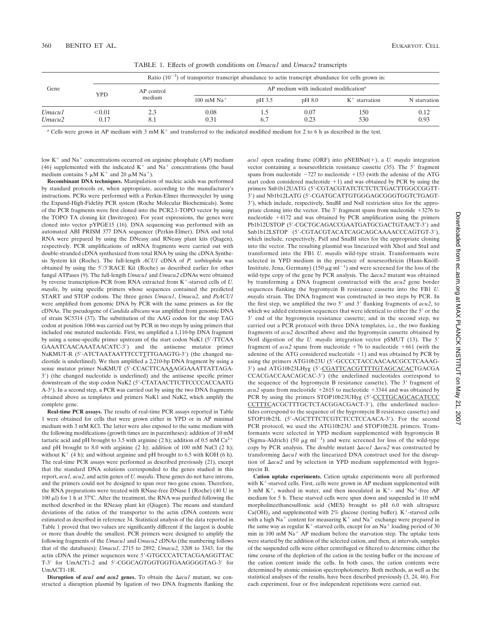| Gene                         |                | Ratio $(10^{-3})$ of transporter transcript abundance to actin transcript abundance for cells grown in: |                                                                   |            |              |                  |              |  |  |  |
|------------------------------|----------------|---------------------------------------------------------------------------------------------------------|-------------------------------------------------------------------|------------|--------------|------------------|--------------|--|--|--|
|                              | YPD            | AP control<br>medium                                                                                    | $AP$ medium with indicated modification <sup><math>a</math></sup> |            |              |                  |              |  |  |  |
|                              |                |                                                                                                         | $100$ mM Na <sup>+</sup>                                          | pH 3.5     | pH 8.0       | $K^+$ starvation | N starvation |  |  |  |
| Umacu1<br>Umacu <sub>2</sub> | < 0.01<br>0.17 | 8.1                                                                                                     | 0.08<br>0.31                                                      | د.1<br>6.7 | 0.07<br>0.23 | 150<br>530       | 0.12<br>0.93 |  |  |  |

TABLE 1. Effects of growth conditions on *Umacu1* and *Umacu2* transcripts

*a* Cells were grown in AP medium with 3 mM K<sup>+</sup> and transferred to the indicated modified medium for 2 to 6 h as described in the text.

low  $K<sup>+</sup>$  and  $Na<sup>+</sup>$  concentrations occurred on arginine phosphate (AP) medium (46) supplemented with the indicated  $K^+$  and  $Na^+$  concentrations (the basal medium contains 5  $\mu$ M K<sup>+</sup> and 20  $\mu$ M Na<sup>+</sup>).

**Recombinant DNA techniques.** Manipulation of nucleic acids was performed by standard protocols or, when appropriate, according to the manufacturer's instructions. PCRs were performed with a Perkin-Elmer thermocycler by using the Expand-High-Fidelity PCR system (Roche Molecular Biochemicals). Some of the PCR fragments were first cloned into the PCR2.1-TOPO vector by using the TOPO TA cloning kit (Invitrogen). For yeast expressions, the genes were cloned into vector pYPGE15 (16). DNA sequencing was performed with an automated ABI PRISM 377 DNA sequencer (Perkin-Elmer). DNA and total RNA were prepared by using the DNeasy and RNeasy plant kits (Qiagen), respectively. PCR amplifications of mRNA fragments were carried out with double-stranded cDNA synthesized from total RNA by using the cDNA Synthesis System kit (Roche). The full-length *ACU1* cDNA of *P. sorbitophila* was obtained by using the 5'/3'RACE Kit (Roche) as described earlier for other fungal ATPases (9). The full-length *Umacu1* and *Umacu2* cDNAs were obtained by reverse transcription-PCR from RNA extracted from K<sup>+</sup>-starved cells of *U*. *maydis*, by using specific primers whose sequences contained the predicted START and STOP codons. The three genes *Umacu1*, *Umacu2*, and *PsACU1* were amplified from genomic DNA by PCR with the same primers as for the cDNAs. The pseudogene of *Candida albicans* was amplified from genomic DNA of strain SC5314 (37). The substitution of the AAG codon for the stop TAG codon at position 1066 was carried out by PCR in two steps by using primers that included one mutated nucleotide. First, we amplified a 1,110-bp DNA fragment by using a sense-specific primer upstream of the start codon NaK1 (5-TTCAA GAAATCAACAAATAACATC-3) and the antisense mutator primer NaKMUT-R (5'-ATCTAATAATTTCCTTTTGAAGTG-3') (the changed nucleotide is underlined). We then amplified a 2,210-bp DNA fragment by using a sense mutator primer NaKMUT (5'-CCACTTCAAAAGGAAATTATTAGA-3) (the changed nucleotide is underlined) and the antisense specific primer downstream of the stop codon NaK2 (5'-CTATAACTTCTTCCCCACCAATG A-3). In a second step, a PCR was carried out by using the two DNA fragments obtained above as templates and primers NaK1 and NaK2, which amplify the complete gene.

**Real-time PCR assays.** The results of real-time PCR assays reported in Table 1 were obtained for cells that were grown either in YPD or in AP minimal medium with 3 mM KCl. The latter were also exposed to the same medium with the following modifications (growth times are in parentheses): addition of 10 mM tartaric acid and pH brought to 3.5 with arginine (2 h); addition of 0.5 mM  $Ca^{2+}$ and pH brought to 8.0 with arginine (2 h); addition of 100 mM NaCl (2 h); without  $K^+$  (4 h); and without arginine and pH brought to 6.5 with KOH (6 h). The real-time PCR assays were performed as described previously (21), except that the standard DNA solutions corresponded to the genes studied in this report, *acu1, acu2*, and actin genes of *U. maydis*. These genes do not have introns, and the primers could not be designed to span over two gene exons. Therefore, the RNA preparations were treated with RNase-free DNase I (Roche) (40 U in 100  $\mu$ l) for 1 h at 37°C. After the treatment, the RNA was purified following the method described in the RNeasy plant kit (Qiagen). The means and standard deviations of the ratios of the transporter to the actin cDNA contents were estimated as described in reference 34. Statistical analysis of the data reported in Table 1 proved that two values are significantly different if the largest is double or more than double the smallest. PCR primers were designed to amplify the following fragments of the *Umacu1* and *Umacu2* cDNAs (the numbering follows that of the databases): *Umacu1*, 2715 to 2892; *Umacu2*, 3208 to 3343; for the actin cDNA the primer sequences were 5-GTGCCCATCTACGAAGGTTAC T-3' for UmACT1-2 and 5'-CGGCAGTGGTGGTGAAGGGGTAG-3' for UmACT1-1R.

**Disruption of** *acu1* **and** *acu2* **genes.** To obtain the  $\Delta acu1$  mutant, we constructed a disruption plasmid by ligation of two DNA fragments flanking the *acu1* open reading frame (ORF) into  $pNEBNat(+)$ , a *U. maydis* integration vector containing a nourseothricin resistance cassette  $(35)$ . The 5' fragment spans from nucleotide  $-727$  to nucleotide  $+153$  (with the adenine of the ATG start codon considered nucleotide  $+1$ ) and was obtained by PCR by using the primers Snb1b12UATG (5'-CGTACGTATCTCTCTCTGACTTGGCCGGTT-3) and Nb1b12LATG (5-CGATGCATTGTGGGAGCGGGTGGTCTGAGT-3), which include, respectively, SnaBI and NsiI restriction sites for the appropriate cloning into the vector. The 3' fragment spans from nucleotide  $+3276$  to nucleotide 4172 and was obtained by PCR amplification using the primers Pb1b12USTOP (5'-CGCTGCAGACCGAATGATGCGACTGTAACT-3') and Snb1b12LSTOP (5'-CGTACGTACATCAGCAGCAAAACCCAGTGT-3'), which include, respectively, PstI and SnaBI sites for the appropriate cloning into the vector. The resulting plasmid was linearized with XhoI and StuI and transformed into the FB1 *U. maydis* wild-type strain. Transformants were selected in YPD medium in the presence of nourseothricin (Hans-Knöll-Institute, Jena, Germany) (150  $\mu$ g ml<sup>-1</sup>) and were screened for the loss of the wild-type copy of the gene by PCR analysis. The  $\Delta acu2$  mutant was obtained by transforming a DNA fragment constructed with the *acu2* gene border sequences flanking the hygromycin B resistance cassette into the FB1 *U. maydis* strain. The DNA fragment was constructed in two steps by PCR. In the first step, we amplified the two 5' and 3' flanking fragments of  $acu2$ , to which we added extension sequences that were identical to either the 5' or the 3' end of the hygromycin resistance cassette; and in the second step, we carried out a PCR protocol with three DNA templates, i.e., the two flanking fragments of *acu2* described above and the hygromycin cassette obtained by NotI digestion of the *U. maydis* integration vector pSMUT (13). The 5 fragment of  $acu2$  spans from nucleotide  $+76$  to nucleotide  $+661$  (with the adenine of the ATG considered nucleotide  $+1$ ) and was obtained by PCR by using the primers ATG10b23U (5'-GCCCCTACCAACAACGCCTCAAAG-3') and ATG10b23LHyg (5'-CGATTCACGTTTTGTAGCACACTGACGA CCACGACCAACAGCAC-3) (the underlined nucleotides correspond to the sequence of the hygromycin B resistance cassette). The 3' fragment of  $acu2$  spans from nucleotide  $+2615$  to nucleotide  $+3344$  and was obtained by PCR by using the primers STOP10b23UHyg (5'-CCTTGCAGCACATCCC) CCTTTCACGCTTTGCTCTACGGACGACT-3'), (the underlined nucleotides correspond to the sequence of the hygromycin B resistance cassette) and STOP10b23L (5'-AGCTTTCTCGTCTCCTCCAACA-3'). For the second PCR protocol, we used the ATG10b23U and STOP10b23L primers. Transformants were selected in YPD medium supplemented with hygromycin B (Sigma-Aldrich) (50  $\mu$ g ml<sup>-1</sup>) and were screened for loss of the wild-type copy by PCR analysis. The double mutant *acu1 acu2* was constructed by transforming  $\Delta acu1$  with the linearized DNA construct used for the disruption of *acu2* and by selection in YPD medium supplemented with hygromycin B.

**Cation uptake experiments.** Cation uptake experiments were all performed with  $K^+$ -starved cells. First, cells were grown in AP medium supplemented with 3 mM K<sup>+</sup>, washed in water, and then inoculated in K<sup>+</sup>- and Na<sup>+</sup>-free AP medium for 5 h. These starved cells were spun down and suspended in 10 mM morpholineethanesulfonic acid (MES) brought to pH 6.0 with ultrapure  $Ca(OH)_2$  and supplemented with 2% glucose (testing buffer). K<sup>+</sup>-starved cells with a high Na<sup>+</sup> content for measuring  $K^+$  and Na<sup>+</sup> exchange were prepared in the same way as regular  $K^+$ -starved cells, except for an Na<sup>+</sup> loading period of 30 min in 100 mM  $Na<sup>+</sup>$  AP medium before the starvation step. The uptake tests were started by the addition of the selected cation, and then, at intervals, samples of the suspended cells were either centrifuged or filtered to determine either the time course of the depletion of the cation in the testing buffer or the increase of the cation content inside the cells. In both cases, the cation contents were determined by atomic emission spectrophotometry. Both methods, as well as the statistical analyses of the results, have been described previously (3, 24, 46). For each experiment, four or five independent repetitions were carried out.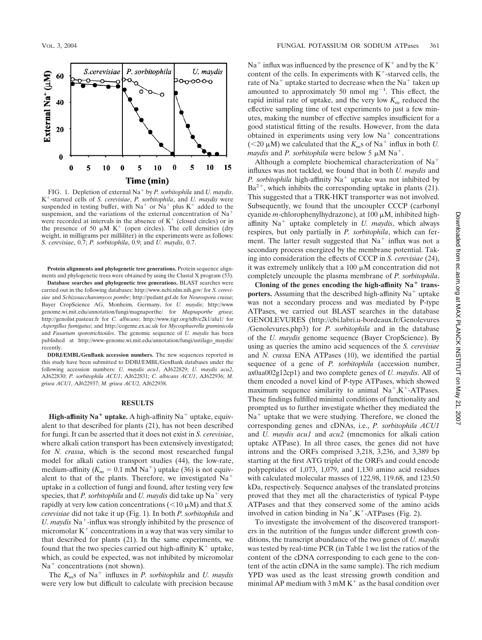

FIG. 1. Depletion of external Na by *P. sorbitophila* and *U. maydis*. K-starved cells of *S. cerevisiae*, *P. sorbitophila*, and *U. maydis* were suspended in testing buffer, with  $Na<sup>+</sup>$  or  $Na<sup>+</sup>$  plus  $K<sup>+</sup>$  added to the suspension, and the variations of the external concentration of  $Na<sup>+</sup>$ were recorded at intervals in the absence of  $K<sup>+</sup>$  (closed circles) or in the presence of 50  $\mu$ M K<sup>+</sup> (open circles). The cell densities (dry weight, in milligrams per milliliter) in the experiments were as follows: *S. cerevisiae*, 0.7; *P. sorbitophila*, 0.9; and *U. maydis*, 0.7.

**Protein alignments and phylogenetic tree generations.** Protein sequence alignments and phylogenetic trees were obtained by using the Clustal X program (53).

**Database searches and phylogenetic tree generations.** BLAST searches were carried out in the following databases: http://www.ncbi.nlm.nih.gov/ for *S. cerevisiae* and *Schizosaccharomyces pombe*; http://pedant.gsf.de for *Neurospora crassa*; Bayer CropScience AG, Monheim, Germany, for *U. maydis*; http://www genome.wi.mit.edu/annotation/fungi/magnaporthe/ for *Magnaporthe grisea*; http://genolist.pasteur.fr for *C. albicans*; http://www.tigr.org/tdb/e2k1/afu1/ for *Aspergillus fumigatus*; and http://cogeme.ex.ac.uk for *Mycosphaerella graminicola* and *Fusarium sporotrichioides*. The genomic sequence of *U. maydis* has been published at http://www-genome.wi.mit.edu/annotation/fungi/ustilago\_maydis/ recently.

**DDBJ/EMBL/GenBank accession numbers.** The new sequences reported in this study have been submitted to DDBJ/EMBL/GenBank databases under the following accession numbers: *U. maydis acu1*, AJ622829; *U. maydis acu2*, AJ622830; *P. sorbitophila ACU1*, AJ622831; *C. albicans ACU1*, AJ622936; *M. grisea ACU1*, AJ622937; *M. grisea ACU2*, AJ622938.

## **RESULTS**

**High-affinity Na<sup>+</sup>** uptake. A high-affinity Na<sup>+</sup> uptake, equivalent to that described for plants (21), has not been described for fungi. It can be asserted that it does not exist in *S. cerevisiae*, where alkali cation transport has been extensively investigated; for *N. crassa*, which is the second most researched fungal model for alkali cation transport studies (44), the low-rate, medium-affinity  $(K_m = 0.1 \text{ mM Na}^+)$  uptake (36) is not equivalent to that of the plants. Therefore, we investigated Na uptake in a collection of fungi and found, after testing very few species, that *P. sorbitophila* and *U. maydis* did take up Na<sup>+</sup> very rapidly at very low cation concentrations  $(<10 \mu M)$  and that *S*. *cerevisiae* did not take it up (Fig. 1). In both *P. sorbitophila* and *U. maydis* Na<sup>+</sup>-influx was strongly inhibited by the presence of micromolar  $K<sup>+</sup>$  concentrations in a way that was very similar to that described for plants (21). In the same experiments, we found that the two species carried out high-affinity  $K^+$  uptake, which, as could be expected, was not inhibited by micromolar  $Na<sup>+</sup> concentrations (not shown).$ 

The  $K_m$ s of Na<sup>+</sup> influxes in *P. sorbitophila* and *U. maydis* were very low but difficult to calculate with precision because  $Na<sup>+</sup>$  influx was influenced by the presence of  $K<sup>+</sup>$  and by the  $K<sup>+</sup>$ content of the cells. In experiments with  $K^+$ -starved cells, the rate of Na<sup>+</sup> uptake started to decrease when the Na<sup>+</sup> taken up amounted to approximately 50 nmol  $mg^{-1}$ . This effect, the rapid initial rate of uptake, and the very low  $K_m$  reduced the effective sampling time of test experiments to just a few minutes, making the number of effective samples insufficient for a good statistical fitting of the results. However, from the data obtained in experiments using very low  $Na<sup>+</sup>$  concentrations ( $\leq$ 20  $\mu$ M) we calculated that the *K<sub>m</sub>s* of Na<sup>+</sup> influx in both *U*. *maydis* and *P. sorbitophila* were below 5  $\mu$ M Na<sup>+</sup>.

Although a complete biochemical characterization of Na influxes was not tackled, we found that in both *U. maydis* and *P. sorbitophila* high-affinity Na<sup>+</sup> uptake was not inhibited by  $Ba^{2+}$ , which inhibits the corresponding uptake in plants (21). This suggested that a TRK-HKT transporter was not involved. Subsequently, we found that the uncoupler CCCP (carbonyl cyanide *m*-chlorophenylhydrazone), at 100  $\mu$ M, inhibited highaffinity  $Na<sup>+</sup>$  uptake completely in *U. maydis*, which always respires, but only partially in *P. sorbitophila*, which can ferment. The latter result suggested that  $Na<sup>+</sup>$  influx was not a secondary process energized by the membrane potential. Taking into consideration the effects of CCCP in *S. cerevisiae* (24), it was extremely unlikely that a 100  $\mu$ M concentration did not completely uncouple the plasma membrane of *P. sorbitophila*.

Cloning of the genes encoding the high-affinity  $Na<sup>+</sup>$  trans**porters.** Assuming that the described high-affinity  $Na<sup>+</sup>$  uptake was not a secondary process and was mediated by P-type ATPases, we carried out BLAST searches in the database GENOLEVURES (http://cbi.labri.u-bordeaux.fr/Genolevures /Genolevures.php3) for *P. sorbitophila* and in the database of the *U. maydis* genome sequence (Bayer CropScience). By using as queries the amino acid sequences of the *S. cerevisiae* and *N. crassa* ENA ATPases (10), we identified the partial sequence of a gene of *P. sorbitophila* (accession number, ax0aa002g12cp1) and two complete genes of *U. maydis*. All of them encoded a novel kind of P-type ATPases, which showed maximum sequence similarity to animal  $Na^+,K^+$ -ATPases. These findings fulfilled minimal conditions of functionality and prompted us to further investigate whether they mediated the  $Na<sup>+</sup>$  uptake that we were studying. Therefore, we cloned the corresponding genes and cDNAs, i.e., *P. sorbitophila ACU1* and *U. maydis acu1* and *acu2* (mnemonics for alkali cation uptake ATPase). In all three cases, the genes did not have introns and the ORFs comprised 3,218, 3,236, and 3,389 bp starting at the first ATG triplet of the ORFs and could encode polypeptides of 1,073, 1,079, and 1,130 amino acid residues with calculated molecular masses of 122.98, 119.68, and 123.50 kDa, respectively. Sequence analyses of the translated proteins proved that they met all the characteristics of typical P-type ATPases and that they conserved some of the amino acids involved in cation binding in  $Na^+,K^+$ -ATPases (Fig. 2).

To investigate the involvement of the discovered transporters in the nutrition of the fungus under different growth conditions, the transcript abundance of the two genes of *U. maydis* was tested by real-time PCR (in Table 1 we list the ratios of the content of the cDNA corresponding to each gene to the content of the actin cDNA in the same sample). The rich medium YPD was used as the least stressing growth condition and minimal AP medium with  $3 \text{ mM } K^+$  as the basal condition over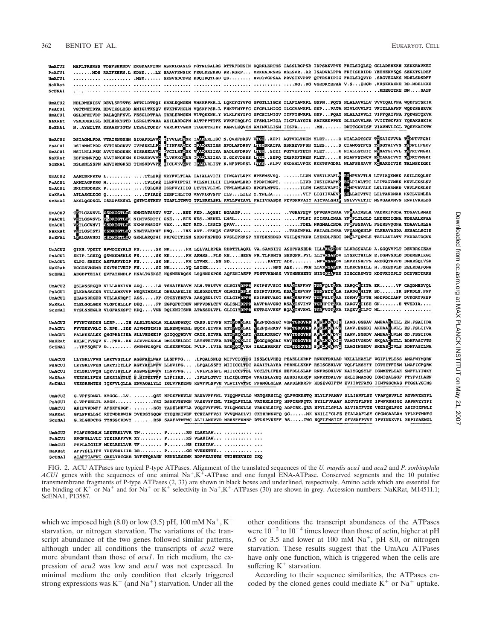| UmACU2        | MAPLTRSHSS TDSFSEKNDV ERGDAAPTNN ASKKLGASLS FGTNLSALRS RTTRFDESIN DQRRLERTHS IASSLRGPSR IDPSAKVPVE FRTLSIQLSQ GGLADENKKH KSDKRAVKEI                                                                                         |  |  |  |  |  |
|---------------|-----------------------------------------------------------------------------------------------------------------------------------------------------------------------------------------------------------------------------|--|--|--|--|--|
| PsACU1        | NDS RAIFEEKN.L KDSDLE SAAVFENSIR FEGLDEEKRG RR.RGRP DRKHADRSRS RSLSVRRR ISADVALPPA FKTISHRIDD YEEHEKVSQS SEKKTSLDEF                                                                                                         |  |  |  |  |  |
| <b>UmACU1</b> | . MSD SKSVSDCDVE KDQIRQTLSD QS HVDTVGPSAA PRVSIKVPRT QTTRSHIPIG FRTLSIQVYD .SRGVEGAKS NDHLSDSDFF                                                                                                                            |  |  |  |  |  |
| NaKRat        |                                                                                                                                                                                                                             |  |  |  |  |  |
|               |                                                                                                                                                                                                                             |  |  |  |  |  |
| <b>SCENA1</b> |                                                                                                                                                                                                                             |  |  |  |  |  |
|               |                                                                                                                                                                                                                             |  |  |  |  |  |
| UmACU2        | NDLDWERISV DEVLSRTSTS ATTGLDTDOI ERRLKONGKN VMSKPPKR.L LOKCFGYVFG GFGTLLIGCS ILAFIAWKPL GNPNPOTS NLALAVVLLV VVVIQALFNA WODFSTSRIM                                                                                           |  |  |  |  |  |
| <b>PSACU1</b> | VGTTWHTDTA EDVIKSLESD ANIGLTKSQV EVKTKVHGLN VQSKPPSR.L FHKTFMYFFG GFGPLLMIGG ILCCVANKPL GNPPATA NIVLGVVLFI VFITLAAFNF WQDYSSSRVM                                                                                            |  |  |  |  |  |
| UmACU1        | GSLDFHTVDP DALAQRFNVL PESGLDTPAA TRRLERNGKN VLTQKKNK.Y WLKLFHYTFG GFCSILMIGV IIFFISWRPL GNPPQAY NLALAIVVLI VIFFQAIFNA FQDWSTQKVM                                                                                            |  |  |  |  |  |
| NaKRat        | VSMDDHKLSL DELHRKYGTD LSRGLTPARA AEILARDGPN ALTPPPTTPE WVKFCRQLFG GFSMLLWIGA ILCFLAYGIR SATEEEPPND DLYLGVVLSA VVIITGCFSY YQEAKSSKIM                                                                                         |  |  |  |  |  |
|               | N. AYHTLTA EEAAEFIGTS LTEGLTQDEF VHRLKTVGEN TLGDDTKIDY KAMVLHQVCN AMINVLLISM IISFA MH DWITGGVISF VIAVNVLIGL VQEYKATKTM                                                                                                      |  |  |  |  |  |
| <b>SCENA1</b> |                                                                                                                                                                                                                             |  |  |  |  |  |
|               |                                                                                                                                                                                                                             |  |  |  |  |  |
| UmACU2        | DSIAGHLPDA VTAIRNGSHN SIQAPDLVVG DIVVLSLGNK IANDLRLISC N.QVKFDRSV VUGEAEPI AGTVDLTDEN YLETR NIALAGTSCV TOSAIGVVVA TONTVFGRI                                                                                                 |  |  |  |  |  |
| <b>PSACU1</b> |                                                                                                                                                                                                                             |  |  |  |  |  |
| <b>UmACU1</b> |                                                                                                                                                                                                                             |  |  |  |  |  |
| <b>NaKRat</b> | DSIENMIPDD SVTIRDGDVV IVPSKKLLPC DIINFSACTK IDIDARIISS SPDLAFDRSV LIGESKAIPA SSKSEVPFSN YLESS CIAMQGTFCS T<br>NSILHLLPEN AVVIRDGEHK SISASELVVC DVCILSTCNK VPADARIIKA SADLKFDRSV LIGESEEI PGTVEPTETN FLETK NIALLGTHIC        |  |  |  |  |  |
| SCENAl        | NSLKNLSSPN AHVIRNGKSE TINSKDVVFC DICLVKVODT IDNDLRLIET K.NFDTDESL LAGB. SLPV SKDANLVFGK EEETSVGDRL NLAFSSSAVV KORAKGIVIK TALNSEIGKI                                                                                         |  |  |  |  |  |
|               |                                                                                                                                                                                                                             |  |  |  |  |  |
|               |                                                                                                                                                                                                                             |  |  |  |  |  |
| UmACU2        | AANTNRPKTG L TTLERE VRYFVLTIAA IAIALAVICI IIMGAYLKPK HPEFMSVSQ. LLVN VVSILVAFL <mark>S SC</mark> MPVAVTLS LTVIAQKMSK AKILCKQLST<br>AKNTAGPKRG M TPLQKE ILRFVIFTSI VILSMIILII ILMAAMLHRD YPDWINGPT. LIVD                     |  |  |  |  |  |
| PsACU1        |                                                                                                                                                                                                                             |  |  |  |  |  |
| <b>UmACU1</b> |                                                                                                                                                                                                                             |  |  |  |  |  |
| NaKRat        | NKLTNDDKEK P TQLQKE ISRFVYIIIG LTVTLVLIML ITMLAMLRKD HPGFLNTVG. ILTN LMSLVVAFI <mark>P FO</mark> MPVAVALT LSLIARRMRD VRVLPKSLST<br>ATLASGLEGG Q TPIAEE IEHFIHLITG VAVFLGVSFF ILSLILE Y.TMLEA VIF LI                         |  |  |  |  |  |
| SCENA1        | AKSLOGDSGL ISRDPSKSWL ONTWISTKKV TGAFLGTNVG TPLHRKLSKL AVLLFWIAVL FAIIVMASQK FDVDKRVAIY AICVALSMI SSLVVVLTIT MSVGAAVMVS RNVIVRKLDS                                                                                          |  |  |  |  |  |
|               |                                                                                                                                                                                                                             |  |  |  |  |  |
|               |                                                                                                                                                                                                                             |  |  |  |  |  |
| UmACU2        | COTLGAVSVL GSDKVCVVLS NNMTATSVGV VGFEST PEDAQHHI HGAAGP  VGHAFEQV QFVGAVCNAA VFDAATMSLA VAERRIFGDA TDSAVLRMAE                                                                                                               |  |  |  |  |  |
| <b>PSACU1</b> | VETLGSVSVL GL <mark>DKVGVAA</mark> K NIMTVSDITI GSEEIE NESMENEL LNSL FFLKI SIISALCNAA YFDPLTLGLD LHERKIIGNA TDSAALKFAA                                                                                                      |  |  |  |  |  |
| UmACU1        | VETLGCVNVI GSDKVGVVDE NKMSVNSIGF VDKECT RIDISSID QPAV FDEL NKGMALCNDA FFDPSSDAVL PSERSVQGNA TDAAVLRLSA                                                                                                                      |  |  |  |  |  |
| NaKRat        | VETLGSTSTI GSDYVGVINO NRMTVAHMWF DNQIHE ADTTENOS GVSFDK  TSATWFAL SRIAGLCNRA VFOANOENLP ILKRAVAGDA SESALLKCIE                                                                                                               |  |  |  |  |  |
| SCENA1        | LEALGAVNDI GSDIVGUMQ GKMLARQIWI PRFGTITISN SDDPFNPNEG NVSLIPRFSP YEYSHNEDGD VGILQNFKDR LYEKDLPEDI DMOLFQKWLE TATLANIATV FKDDATDCWK                                                                                          |  |  |  |  |  |
|               |                                                                                                                                                                                                                             |  |  |  |  |  |
|               | QIKS.VQETT RPWDTEYRLN FNSK NKFM LQLVALRPEA RDDTTLAQKL VA.SAMSITE ASEFNASEDR ILLAKGGEDV LLKRSSWALD A.SGQVVPLT DEVRRSIEAM                                                                                                     |  |  |  |  |  |
| UmACU2        |                                                                                                                                                                                                                             |  |  |  |  |  |
| <b>PsACU1</b> | EKIP.LGKIQ QSWKEMSHLS FSSK KKFM AKMHSPLD KESENA FR.TLFSNTS SHDQNK.PYL LLTVKGNDDV LYSKCTHILN E.DGMVSDLD DDEMEKIKGI                                                                                                           |  |  |  |  |  |
| <b>UmACU1</b> | SLPG.SEEIK ASFRRVYDIP FNSK NKFM LTVMRSN SD KATTT ADE MFVKGHODV LMPRISHFFS ARDGQTKVFD DMARSQLVSK                                                                                                                             |  |  |  |  |  |
| NakRat        | VCCGSVMENR EKYTKIVEIP FNST NKYQ LSIHK  NPN ASEPKH LLVM <mark>KCAR</mark> ER ILDRCSSILL HGKEQPLD EELKDAFQNA                                                                                                                  |  |  |  |  |  |
| <b>SCENA1</b> | AHGDPTEIAI OVFATKMDLP HNALTGEKST NOSNENDOSS LSOHNEKPGS AQFEHIAEFP FDSTVKRMSS VYYNNHNETY NIYGKON ES IISCCSSWYG KDGVKITPLT DCDVETIRKN                                                                                         |  |  |  |  |  |
|               |                                                                                                                                                                                                                             |  |  |  |  |  |
| <b>UmACU2</b> | QSLWSSRGQR VLLLARKIVR ADQLD TSVAIEDAVM ALM.THLTVV GLVGIVDPPR PEIPSVVSTC RRAGIRFFMV UGDFQLTRA IARQCGIITA EKVF CAQDMHDVQL                                                                                                     |  |  |  |  |  |
|               |                                                                                                                                                                                                                             |  |  |  |  |  |
| <b>PsACU1</b> | QLKNASSGKR VILLAMKVVP NEQRIMESLK DNSAANELIE ELSDRGLTLV GLMGISDELK DDIPYVIRVL KDA <mark>G</mark> IRPVMV <mark>KGD</mark> YEYT ILA IARNG <b>C</b> MITK SDIR SFKDLN.PNF                                                        |  |  |  |  |  |
| <b>UmACU1</b> | OEANSRRGER VILLAKROFI ASSKP GTGEYEDEVA AASQEDLIVI GLLGIMODER SDIRHTVAEC RRS <mark>GSRFFMV RGD</mark> FSLTAA IGRAVGIFTH NGEPDCIANF DVKGRYVSEP                                                                                |  |  |  |  |  |
| NaKRat        | YLELGGLGER VLGFCHLLLP DEQFP EGFQFDTDEV NFPVDNLCFV GLISMIDPPR AAVPDAVGKC RSAGIKVIMV WGDHPITRKA IAKGVGIISE GNE TVEDIA                                                                                                         |  |  |  |  |  |
| <b>SCENA1</b> | VYSLSNEGLR VLGFASKSFT KDQVND DQLKNITSNR ATAESDLVFL GLIGIY <mark>DPPR</mark> NETAGAVKKF HQA <mark>G</mark> INVHML <mark>TGD</mark> FVGTRKA IAQEVGILPT NL                                                                     |  |  |  |  |  |
|               |                                                                                                                                                                                                                             |  |  |  |  |  |
| UmACU2        |                                                                                                                                                                                                                             |  |  |  |  |  |
|               |                                                                                                                                                                                                                             |  |  |  |  |  |
| <b>PSACU1</b> |                                                                                                                                                                                                                             |  |  |  |  |  |
| <b>UmACU1</b> |                                                                                                                                                                                                                             |  |  |  |  |  |
| <b>NaKRat</b> | PVYNTYSDDE LTRPIE ALSLTGADLM KLEASDNEQI CRSD.EIVFS RTTPDECLRI VKEFQQRSEC VGWGDGVND APSBOADIC IANG.GGSAV ANEAAMILL EN.FSAIIDA<br>PVVGEKVKLC D.RPEIDE AIVMTGTNIN ELNENQNEHL SQCK.EIVFA RTTPEQKLRI VEEFQKRKNV VGWGDGVND APSBOA |  |  |  |  |  |
| <b>SCENA1</b> |                                                                                                                                                                                                                             |  |  |  |  |  |
|               |                                                                                                                                                                                                                             |  |  |  |  |  |
| UmACU2        | LLYGRLVFVN LKKTVGYLLP AGSFAELMAV LLSFFFG .LPQALSNLQ MIFVCIOTDG ISSLCLVHEQ PEAELLKRKP RNVKTDRLAD WKLLLHAYLF VGIPLTLTSS AMAFWYMQRN                                                                                            |  |  |  |  |  |
| <b>PsACU1</b> | LKYGRLVFEN LKKTITYLLP AGTYAELWPV LLDVIFG .LPQALSSFY MIIICCLTDC AGAITLAYEA PERNLLEKKP RSISGERLVN VQLFLHSYFT IGTYYTFTSM LMAFICFQRM                                                                                            |  |  |  |  |  |
|               |                                                                                                                                                                                                                             |  |  |  |  |  |
| <b>UmACU1</b> | IKLGRLVFON LOKVISTLLP AGSWSEDWPV ILNVFFG .VPLPLSSFL MIIICCFTDL VCCLTLIFEK EEFDLLSLAP RNPRSDHLVN KAIYGOSYLF IGMMETLTAH SMFFLYIWKY                                                                                            |  |  |  |  |  |
| NaKRat        | VEEGRLIFDN LKKSIAYTLT S.NIPEITPF LIFIIAN .IPLPLGTVT ILCIDLGTDM VPAISLAYEQ AESDIMKRQP RNPKTDKLVN ERLISMAYGQ IGMIQALGGF FTYFVILAEN                                                                                            |  |  |  |  |  |
| <b>SCENA1</b> | VEEGRRMTDN IQKFVLQLLA ENVAQALYLI IGLVFRDENG KSVFPLSPVE VLWIIVVTSC FPAMGLGLEK AAPDLMDRPP HDSEVGIFTW EVIIDTFAYG IIMTGSCMAS FTGSLYGINS                                                                                         |  |  |  |  |  |
|               |                                                                                                                                                                                                                             |  |  |  |  |  |
| UmACU2        | G.VPFSDMWL KYGGGLV. QST NPDKFNEVLN RANAVFFFNL VIQQWFNLLG WRTQSRSILQ QLPVGKKSTQ NLYLFPAMAV SLLIAVFLSY VPAFQRVFLT RGVNVEHYFL                                                                                                  |  |  |  |  |  |
| PsACU1        | G.VPFKELTL AYGN YSI DSNKVTSVGN VASSVYFINL VIMQLFNLLA VRTRHLSIFQ HPPIRNPQTR NYILFVAAAF AIGVTFLFNY IPWFRNNIGT ARPHVEYYFI                                                                                                      |  |  |  |  |  |
|               |                                                                                                                                                                                                                             |  |  |  |  |  |
| <b>UmACU1</b> | AKIPVKDMFF AFEKFGDGF. EGY TADELNHFLA VGQCVYFVTL VILQWGNLLS VRNKRLSIFQ ADPIRK.QRR NPYLILGPLA ALVIAIFVTE VKGIQNLFGT ASIPIEFWLI                                                                                                |  |  |  |  |  |
| NaKRat        | GFLPFHLLGI RETWDDRWIN DVEDSYGOOW TYEORKIVEF TCHTAFFVSI VVVQWADLVI CKTRRNSVFQ QGMK NKILIFGLFE ETALAAFLSY CPGMGAALRM YPLKPTWWFC                                                                                               |  |  |  |  |  |
| <b>SCENA1</b> | G.RLGHDCDG TYNSSCRDVY RSR SAAFATMTWC ALILAWEVVD MRRSFFRMHP DTDSPVKEFF RSIWG NQFLFWSIIF GFVSAFPVVY IPVINDKVFL HKPIGAEWGL                                                                                                     |  |  |  |  |  |
|               |                                                                                                                                                                                                                             |  |  |  |  |  |
| <b>UmACU2</b> | PIAFGVGMLM LEETRKLVVR TW PRG ILAKLAW                                                                                                                                                                                        |  |  |  |  |  |
| <b>PSACU1</b> | AVGFGLLVLT YDEIRKFFVR KY PKS VLAKIAW                                                                                                                                                                                        |  |  |  |  |  |
|               |                                                                                                                                                                                                                             |  |  |  |  |  |
| <b>UmACU1</b> | PVPLAIGILV MDELRKLLVR TF PNS IIAKIAW                                                                                                                                                                                        |  |  |  |  |  |
| <b>NaKRat</b> | AFPYSLLIFV YDEVRKLIIR RR PGG WVEKETYY                                                                                                                                                                                       |  |  |  |  |  |
| <b>SCENA1</b> | AIAFTIAFWI GAELYKCGKR RYFKTQRAHN PENDLESNNK RDPFEAYSTS TTIHTEVNIG IKQ                                                                                                                                                       |  |  |  |  |  |
|               |                                                                                                                                                                                                                             |  |  |  |  |  |

FIG. 2. ACU ATPases are typical P-type ATPases. Alignment of the translated sequences of the *U. maydis acu1* and *acu2* and *P. sorbitophila ACU1* genes with the sequences of one animal  $Na^+, K^+$ -ATPase and one fungal ENA-ATPase. Conserved segments and the 10 putative transmembrane fragments of P-type ATPases (2, 33) are shown in black boxes and underlined, respectively. Amino acids which are essential for the binding of  $K^+$  or Na<sup>+</sup> and for Na<sup>+</sup> or K<sup>+</sup> selectivity in Na<sup>+</sup>,K<sup>+</sup>-ATPases (30) are shown in grey. Accession numbers: NaKRat, M14511.1; ScENA1, P13587.

which we imposed high (8.0) or low (3.5) pH, 100 mM  $\mathrm{Na}^+$ , K<sup>+</sup> starvation, or nitrogen starvation. The variations of the transcript abundance of the two genes followed similar patterns, although under all conditions the transcripts of *acu2* were more abundant than those of *acu1*. In rich medium, the expression of *acu2* was low and *acu1* was not expressed. In minimal medium the only condition that clearly triggered strong expressions was  $K^+$  (and Na<sup>+</sup>) starvation. Under all the other conditions the transcript abundances of the ATPases were  $10^{-2}$  to  $10^{-4}$  times lower than those of actin, higher at pH 6.5 or 3.5 and lower at 100 mM  $Na^+$ , pH 8.0, or nitrogen starvation. These results suggest that the UmAcu ATPases have only one function, which is triggered when the cells are suffering  $K^+$  starvation.

According to their sequence similarities, the ATPases encoded by the cloned genes could mediate  $K^+$  or  $Na^+$  uptake.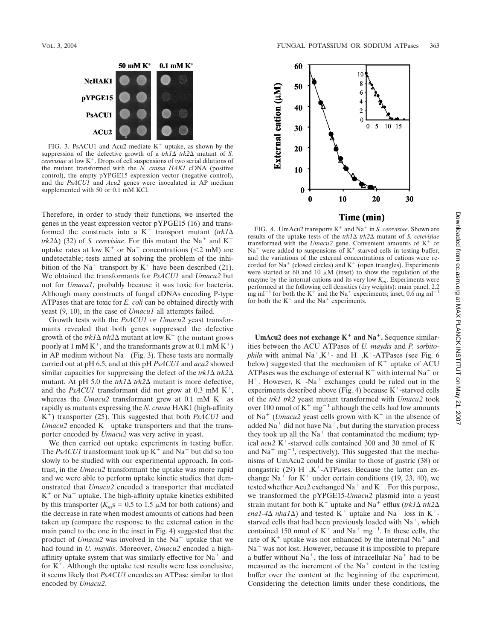

FIG. 3. PsACU1 and Acu2 mediate  $K^+$  uptake, as shown by the suppression of the defective growth of a  $trk/2 \Delta trk/2 \Delta$  mutant of *S. cerevisiae* at low K<sup>+</sup>. Drops of cell suspensions of two serial dilutions of the mutant transformed with the *N. crassa HAK1* cDNA (positive control), the empty pYPGE15 expression vector (negative control), and the *PsACU1* and *Acu2* genes were inoculated in AP medium supplemented with 50 or 0.1 mM KCl.

Therefore, in order to study their functions, we inserted the genes in the yeast expression vector pYPGE15 (16) and transformed the constructs into a K<sup>+</sup> transport mutant ( $trk1\Delta$ *trk2* $\Delta$ ) (32) of *S. cerevisiae*. For this mutant the Na<sup>+</sup> and K<sup>+</sup> uptake rates at low  $K^+$  or Na<sup>+</sup> concentrations (<2 mM) are undetectable; tests aimed at solving the problem of the inhibition of the Na<sup>+</sup> transport by  $K^+$  have been described (21). We obtained the transformants for *PsACU1* and *Umacu2* but not for *Umacu1*, probably because it was toxic for bacteria. Although many constructs of fungal cDNAs encoding P-type ATPases that are toxic for *E. coli* can be obtained directly with yeast (9, 10), in the case of *Umacu1* all attempts failed.

Growth tests with the *PsACU1* or *Umacu2* yeast transformants revealed that both genes suppressed the defective growth of the  $trk/2\Delta$  mutant at low K<sup>+</sup> (the mutant grows poorly at 1 mM  $K^+$ , and the transformants grew at 0.1 mM  $K^+$ ) in AP medium without  $Na<sup>+</sup>$  (Fig. 3). These tests are normally carried out at pH 6.5, and at this pH *PsACU1* and *acu2* showed similar capacities for suppressing the defect of the  $trk1\Delta$   $trk2\Delta$ mutant. At pH 5.0 the  $trk/(\Delta trk/(\Delta t))$  mutant is more defective, and the *PsACU1* transformant did not grow at 0.3 mM  $K^+$ , whereas the *Umacu2* transformant grew at  $0.1 \text{ mM } K^+$  as rapidly as mutants expressing the *N. crassa* HAK1 (high-affinity K<sup>+</sup>) transporter (25). This suggested that both *PsACU1* and *Umacu2* encoded  $K^+$  uptake transporters and that the transporter encoded by *Umacu2* was very active in yeast.

We then carried out uptake experiments in testing buffer. The *PsACU1* transformant took up  $K^+$  and  $Na^+$  but did so too slowly to be studied with our experimental approach. In contrast, in the *Umacu2* transformant the uptake was more rapid and we were able to perform uptake kinetic studies that demonstrated that *Umacu2* encoded a transporter that mediated  $K^+$  or Na<sup>+</sup> uptake. The high-affinity uptake kinetics exhibited by this transporter ( $K_m$ s = 0.5 to 1.5  $\mu$ M for both cations) and the decrease in rate when modest amounts of cations had been taken up (compare the response to the external cation in the main panel to the one in the inset in Fig. 4) suggested that the product of *Umacu2* was involved in the  $Na<sup>+</sup>$  uptake that we had found in *U. maydis*. Moreover, *Umacu2* encoded a highaffinity uptake system that was similarly effective for  $Na<sup>+</sup>$  and for  $K^+$ . Although the uptake test results were less conclusive, it seems likely that *PsACU1* encodes an ATPase similar to that encoded by *Umacu2*.



## Time (min)

FIG. 4. UmAcu2 transports  $K^+$  and  $Na^+$  in *S. cerevisiae*. Shown are results of the uptake tests of the  $trk/2\Delta$  *trk2* $\Delta$  mutant of *S. cerevisiae* transformed with the *Umacu2* gene. Convenient amounts of K<sup>+</sup> or  $Na<sup>+</sup>$  were added to suspensions of K<sup>+</sup>-starved cells in testing buffer, and the variations of the external concentrations of cations were recorded for  $Na<sup>+</sup>$  (closed circles) and  $K<sup>+</sup>$  (open triangles). Experiments were started at  $60$  and  $10 \mu \dot{M}$  (inset) to show the regulation of the enzyme by the internal cations and its very low  $K_m$ . Experiments were performed at the following cell densities (dry weights): main panel, 2.2 mg ml<sup>-1</sup> for both the K<sup>+</sup> and the Na<sup>+</sup> experiments; inset, 0.6 mg ml<sup>-1</sup> for both the  $K^+$  and the Na<sup>+</sup> experiments.

**UmAcu2** does not exchange  $K^+$  and  $Na^+$ . Sequence similarities between the ACU ATPases of *U. maydis* and *P. sorbitophila* with animal  $Na^+, K^+$ - and  $H^+, K^+$ -ATPases (see Fig. 6) below) suggested that the mechanism of  $K^+$  uptake of ACU ATPases was the exchange of external  $K^+$  with internal Na<sup>+</sup> or  $H^+$ . However,  $K^+$ -Na<sup>+</sup> exchanges could be ruled out in the experiments described above (Fig. 4) because  $K^+$ -starved cells of the *trk1 trk2* yeast mutant transformed with *Umacu2* took over 100 nmol of  $K^+$  mg<sup>-1</sup> although the cells had low amounts of Na<sup>+</sup> (*Umacu2* yeast cells grown with  $K^+$  in the absence of added Na<sup>+</sup> did not have Na<sup>+</sup>, but during the starvation process they took up all the  $Na<sup>+</sup>$  that contaminated the medium; typical *acu2* K<sup>+</sup>-starved cells contained 300 and 30 nmol of  $K^+$ and  $\text{Na}^+$  mg<sup>-1</sup>, respectively). This suggested that the mechanisms of UmAcu2 could be similar to those of gastric (38) or nongastric (29)  $H^+$ , K<sup>+</sup>-ATPases. Because the latter can exchange Na<sup>+</sup> for K<sup>+</sup> under certain conditions (19, 23, 40), we tested whether Acu2 exchanged Na<sup>+</sup> and K<sup>+</sup>. For this purpose, we transformed the pYPGE15-*Umacu2* plasmid into a yeast strain mutant for both K<sup>+</sup> uptake and Na<sup>+</sup> efflux (*trk1* $\Delta$  *trk2* $\Delta$ *ena1-4* $\Delta$  *nha1* $\Delta$ ) and tested K<sup>+</sup> uptake and Na<sup>+</sup> loss in K<sup>+</sup>starved cells that had been previously loaded with  $Na^+$ , which contained 150 nmol of  $K^+$  and Na<sup>+</sup> mg<sup>-1</sup>. In these cells, the rate of  $K<sup>+</sup>$  uptake was not enhanced by the internal Na<sup>+</sup> and  $Na<sup>+</sup>$  was not lost. However, because it is impossible to prepare a buffer without  $Na^+$ , the loss of intracellular  $Na^+$  had to be measured as the increment of the  $Na<sup>+</sup>$  content in the testing buffer over the content at the beginning of the experiment. Considering the detection limits under these conditions, the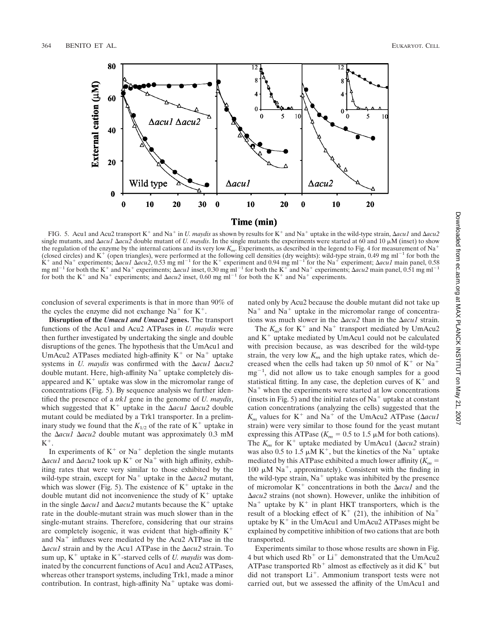

FIG. 5. Acu1 and Acu2 transport K<sup>+</sup> and Na<sup>+</sup> in *U. maydis* as shown by results for K<sup>+</sup> and Na<sup>+</sup> uptake in the wild-type strain,  $\Delta acu1$  and  $\Delta acu2$ single mutants, and  $\Delta acu1$   $\Delta acu2$  double mutant of *U. maydis*. In the single mutants the experiments were started at 60 and 10  $\mu$ M (inset) to show the regulation of the enzyme by the internal cations and its very low *Km*. Experiments, as described in the legend to Fig. 4 for measurement of Na (closed circles) and  $K^+$  (open triangles), were performed at the following cell densities (dry weights): wild-type strain, 0.49 mg ml<sup>-1</sup> for both the K<sup>+</sup> and Na<sup>+</sup> experiments;  $\Delta acu1$   $\Delta acu2$ , 0.53 mg ml<sup>-1</sup> for the K<sup>+</sup> experiment and 0.94 mg ml<sup>-1</sup> for the Na<sup>+</sup> experiment;  $\Delta acu1$  main panel, 0.58 mg ml<sup>-1</sup> for both the K<sup>+</sup> and Na<sup>+</sup> experiments;  $\Delta acu1$  inset, 0.30 mg ml<sup>-1</sup> for both the K<sup>+</sup> and Na<sup>+</sup> experiments;  $\Delta acu2$  main panel, 0.51 mg ml<sup>-1</sup> for both the K<sup>+</sup> and Na<sup>+</sup> experiments; and  $\Delta acu2$  inset, 0.60 mg ml<sup>-1</sup> for both the K<sup>+</sup> and Na<sup>+</sup> experiments.

conclusion of several experiments is that in more than 90% of the cycles the enzyme did not exchange  $Na<sup>+</sup>$  for  $K<sup>+</sup>$ .

**Disruption of the** *Umacu1 and Umacu2* **genes.** The transport functions of the Acu1 and Acu2 ATPases in *U. maydis* were then further investigated by undertaking the single and double disruptions of the genes. The hypothesis that the UmAcu1 and UmAcu2 ATPases mediated high-affinity  $K^+$  or Na<sup>+</sup> uptake systems in *U. maydis* was confirmed with the *acu1 acu2* double mutant. Here, high-affinity  $Na<sup>+</sup>$  uptake completely disappeared and  $K<sup>+</sup>$  uptake was slow in the micromolar range of concentrations (Fig. 5). By sequence analysis we further identified the presence of a *trk1* gene in the genome of *U. maydis*, which suggested that  $K^+$  uptake in the  $\Delta acu1$   $\Delta acu2$  double mutant could be mediated by a Trk1 transporter. In a preliminary study we found that the  $K_{1/2}$  of the rate of  $K^+$  uptake in the *acu1 acu2* double mutant was approximately 0.3 mM  $K^+$ .

In experiments of  $K^+$  or Na<sup>+</sup> depletion the single mutants  $\Delta acu1$  and  $\Delta acu2$  took up K<sup>+</sup> or Na<sup>+</sup> with high affinity, exhibiting rates that were very similar to those exhibited by the wild-type strain, except for  $Na<sup>+</sup>$  uptake in the  $\Delta acu2$  mutant, which was slower (Fig. 5). The existence of  $K^+$  uptake in the double mutant did not inconvenience the study of  $K^+$  uptake in the single  $\Delta acu1$  and  $\Delta acu2$  mutants because the K<sup>+</sup> uptake rate in the double-mutant strain was much slower than in the single-mutant strains. Therefore, considering that our strains are completely isogenic, it was evident that high-affinity  $K^+$ and  $Na<sup>+</sup>$  influxes were mediated by the Acu2 ATPase in the *acu1* strain and by the Acu1 ATPase in the *acu2* strain. To sum up,  $K^+$  uptake in  $K^+$ -starved cells of *U. maydis* was dominated by the concurrent functions of Acu1 and Acu2 ATPases, whereas other transport systems, including Trk1, made a minor contribution. In contrast, high-affinity  $Na<sup>+</sup>$  uptake was dominated only by Acu2 because the double mutant did not take up  $Na<sup>+</sup>$  and  $Na<sup>+</sup>$  uptake in the micromolar range of concentrations was much slower in the  $\Delta acu2$  than in the  $\Delta acu1$  strain.

The  $K_m$ s for  $K^+$  and Na<sup>+</sup> transport mediated by UmAcu2 and  $K<sup>+</sup>$  uptake mediated by UmAcu1 could not be calculated with precision because, as was described for the wild-type strain, the very low  $K_m$  and the high uptake rates, which decreased when the cells had taken up 50 nmol of  $K^+$  or  $Na^+$  $mg^{-1}$ , did not allow us to take enough samples for a good statistical fitting. In any case, the depletion curves of  $K^+$  and  $Na<sup>+</sup>$  when the experiments were started at low concentrations (insets in Fig. 5) and the initial rates of  $Na<sup>+</sup>$  uptake at constant cation concentrations (analyzing the cells) suggested that the  $K_m$  values for K<sup>+</sup> and Na<sup>+</sup> of the UmAcu2 ATPase ( $\Delta acu1$ strain) were very similar to those found for the yeast mutant expressing this ATPase ( $K_m$  = 0.5 to 1.5  $\mu$ M for both cations). The  $K_m$  for  $K^+$  uptake mediated by UmAcu1 ( $\Delta acu^2$  strain) was also 0.5 to 1.5  $\mu$ M K<sup>+</sup>, but the kinetics of the Na<sup>+</sup> uptake mediated by this ATPase exhibited a much lower affinity  $(K_m =$ 100  $\mu$ M Na<sup>+</sup>, approximately). Consistent with the finding in the wild-type strain,  $Na<sup>+</sup>$  uptake was inhibited by the presence of micromolar  $K^+$  concentrations in both the  $\Delta acu1$  and the *acu2* strains (not shown). However, unlike the inhibition of  $Na<sup>+</sup>$  uptake by  $K<sup>+</sup>$  in plant HKT transporters, which is the result of a blocking effect of  $K^+$  (21), the inhibition of Na<sup>+</sup> uptake by  $K^+$  in the UmAcu1 and UmAcu2 ATPases might be explained by competitive inhibition of two cations that are both transported.

Experiments similar to those whose results are shown in Fig. 4 but which used  $Rb^+$  or  $Li^+$  demonstrated that the UmAcu2 ATPase transported  $Rb^+$  almost as effectively as it did  $K^+$  but did not transport Li<sup>+</sup>. Ammonium transport tests were not carried out, but we assessed the affinity of the UmAcu1 and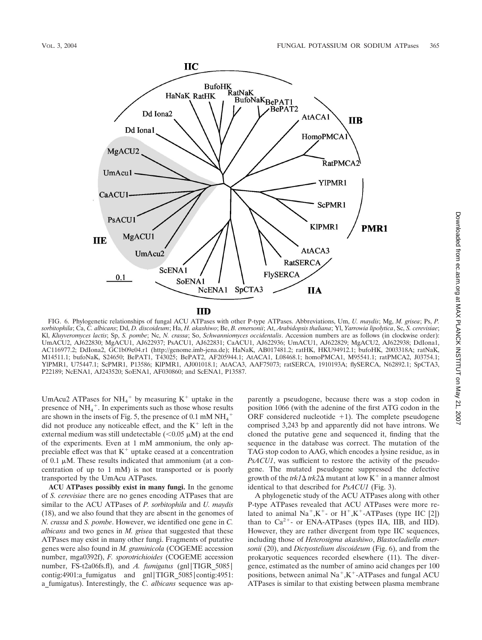

FIG. 6. Phylogenetic relationships of fungal ACU ATPases with other P-type ATPases. Abbreviations, Um, *U. maydis*; Mg, *M. grisea*; Ps, *P. sorbitophila*; Ca, *C. albicans*; Dd, *D. discoideum*; Ha, *H. akashiwo*; Be, *B. emersonii*; At, *Arabidopsis thaliana*; Yl, *Yarrowia lipolytica*, Sc, *S. cerevisiae*; Kl, *Kluyveromyces lactis*; Sp, *S. pombe*; Nc, *N. crassa*; So, *Schwanniomyces occidentalis*. Accession numbers are as follows (in clockwise order): UmACU2, AJ622830; MgACU1, AJ622937; PsACU1, AJ622831; CaACU1, AJ622936; UmACU1, AJ622829; MgACU2, AJ622938; DdIona1, AC116977.2; DdIona2, GC1b09e04.r1 (http://genome.imb-jena.de); HaNaK, AB017481.2; ratHK, HKU94912.1; bufoHK, 2003318A; ratNaK, M14511.1; bufoNaK, S24650; BePAT1, T43025; BePAT2, AF205944.1; AtACA1, L08468.1; homoPMCA1, M95541.1; ratPMCA2, J03754.1; YlPMR1, U75447.1; ScPMR1, P13586; KlPMR1, AJ001018.1; AtACA3, AAF75073; ratSERCA, 1910193A; flySERCA, N62892.1; SpCTA3, P22189; NcENA1, AJ243520; SoENA1, AF030860; and ScENA1, P13587.

UmAcu2 ATPases for  $NH_4^+$  by measuring K<sup>+</sup> uptake in the presence of NH<sub>4</sub><sup>+</sup>. In experiments such as those whose results are shown in the insets of Fig. 5, the presence of 0.1 mM  $NH_4^+$ did not produce any noticeable effect, and the  $K^+$  left in the external medium was still undetectable  $(<0.05 \mu M$ ) at the end of the experiments. Even at 1 mM ammonium, the only appreciable effect was that  $K^+$  uptake ceased at a concentration of 0.1  $\mu$ M. These results indicated that ammonium (at a concentration of up to 1 mM) is not transported or is poorly transported by the UmAcu ATPases.

**ACU ATPases possibly exist in many fungi.** In the genome of *S. cerevisiae* there are no genes encoding ATPases that are similar to the ACU ATPases of *P. sorbitophila* and *U. maydis* (18), and we also found that they are absent in the genomes of *N. crassa* and *S. pombe*. However, we identified one gene in *C. albicans* and two genes in *M. grisea* that suggested that these ATPases may exist in many other fungi. Fragments of putative genes were also found in *M. graminicola* (COGEME accession number, mga0392f), *F. sporotrichioides* (COGEME accession number, FS-t2a06fs.fl), and *A. fumigatus* (gnl|TIGR\_5085| contig:4901:a\_fumigatus and gnl|TIGR\_5085|contig:4951: a\_fumigatus). Interestingly, the *C. albicans* sequence was apparently a pseudogene, because there was a stop codon in position 1066 (with the adenine of the first ATG codon in the ORF considered nucleotide  $+1$ ). The complete pseudogene comprised 3,243 bp and apparently did not have introns. We cloned the putative gene and sequenced it, finding that the sequence in the database was correct. The mutation of the TAG stop codon to AAG, which encodes a lysine residue, as in *PsACU1*, was sufficient to restore the activity of the pseudogene. The mutated pseudogene suppressed the defective growth of the  $trk/2\Delta$  mutant at low K<sup>+</sup> in a manner almost identical to that described for *PsACU1* (Fig. 3).

A phylogenetic study of the ACU ATPases along with other P-type ATPases revealed that ACU ATPases were more related to animal  $Na^+, K^+$ - or  $H^+, K^+$ -ATPases (type IIC [2]) than to  $Ca^{2+}$ - or ENA-ATPases (types IIA, IIB, and IID). However, they are rather divergent from type IIC sequences, including those of *Heterosigma akashiwo*, *Blastocladiella emersonii* (20), and *Dictyostelium discoideum* (Fig. 6), and from the prokaryotic sequences recorded elsewhere (11). The divergence, estimated as the number of amino acid changes per 100 positions, between animal  $Na^+,K^+$ -ATPases and fungal ACU ATPases is similar to that existing between plasma membrane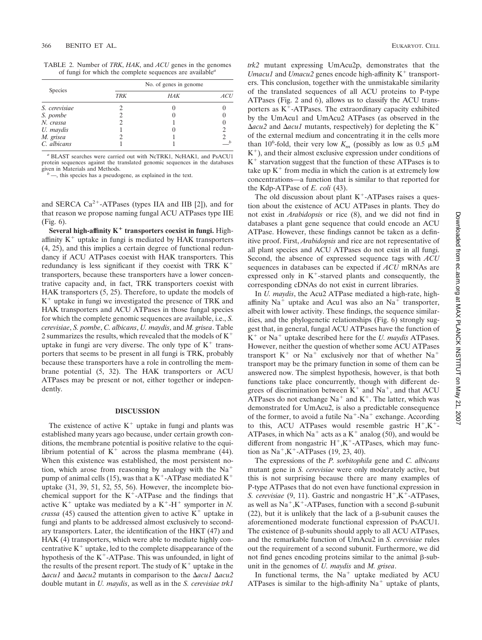| TABLE 2. Number of TRK, HAK, and ACU genes in the genomes |                                                                             |  |  |  |
|-----------------------------------------------------------|-----------------------------------------------------------------------------|--|--|--|
|                                                           | of fungi for which the complete sequences are available <sup><i>a</i></sup> |  |  |  |

|               |            | No. of genes in genome |            |  |  |  |
|---------------|------------|------------------------|------------|--|--|--|
| Species       | <b>TRK</b> | HAK                    | <i>ACU</i> |  |  |  |
| S. cerevisiae |            |                        |            |  |  |  |
| S. pombe      |            |                        |            |  |  |  |
| N. crassa     |            |                        |            |  |  |  |
| U. maydis     |            |                        |            |  |  |  |
| M. grisea     |            |                        |            |  |  |  |
| C. albicans   |            |                        |            |  |  |  |

*<sup>a</sup>* BLAST searches were carried out with NcTRK1, NcHAK1, and PsACU1 protein sequences against the translated genomic sequences in the databases

 $\frac{d}{dx}$ , this species has a pseudogene, as explained in the text.

and SERCA  $Ca^{2+}$ -ATPases (types IIA and IIB [2]), and for that reason we propose naming fungal ACU ATPases type IIE (Fig. 6).

**Several high-affinity K transporters coexist in fungi.** Highaffinity  $K^+$  uptake in fungi is mediated by HAK transporters (4, 25), and this implies a certain degree of functional redundancy if ACU ATPases coexist with HAK transporters. This redundancy is less significant if they coexist with TRK  $K^+$ transporters, because these transporters have a lower concentrative capacity and, in fact, TRK transporters coexist with HAK transporters (5, 25). Therefore, to update the models of  $K<sup>+</sup>$  uptake in fungi we investigated the presence of TRK and HAK transporters and ACU ATPases in those fungal species for which the complete genomic sequences are available, i.e., *S. cerevisiae*, *S. pombe*, *C. albicans*, *U. maydis*, and *M. grisea*. Table 2 summarizes the results, which revealed that the models of  $K^+$ uptake in fungi are very diverse. The only type of  $K^+$  transporters that seems to be present in all fungi is TRK, probably because these transporters have a role in controlling the membrane potential (5, 32). The HAK transporters or ACU ATPases may be present or not, either together or independently.

### **DISCUSSION**

The existence of active  $K^+$  uptake in fungi and plants was established many years ago because, under certain growth conditions, the membrane potential is positive relative to the equilibrium potential of  $K^+$  across the plasma membrane (44). When this existence was established, the most persistent notion, which arose from reasoning by analogy with the  $Na<sup>+</sup>$ pump of animal cells (15), was that a  $K^+$ -ATPase mediated  $K^+$ uptake (31, 39, 51, 52, 55, 56). However, the incomplete biochemical support for the  $K^+$ -ATPase and the findings that active  $K^+$  uptake was mediated by a  $K^+$ -H<sup>+</sup> symporter in *N*. *crassa* (45) caused the attention given to active  $K^+$  uptake in fungi and plants to be addressed almost exclusively to secondary transporters. Later, the identification of the HKT (47) and HAK (4) transporters, which were able to mediate highly concentrative  $K^+$  uptake, led to the complete disappearance of the hypothesis of the  $K^+$ -ATPase. This was unfounded, in light of the results of the present report. The study of  $K^+$  uptake in the *acu1* and *acu2* mutants in comparison to the *acu1 acu2* double mutant in *U. maydis*, as well as in the *S. cerevisiae trk1*

*trk2* mutant expressing UmAcu2p, demonstrates that the *Umacu1* and *Umacu2* genes encode high-affinity  $K^+$  transporters. This conclusion, together with the unmistakable similarity of the translated sequences of all ACU proteins to P-type ATPases (Fig. 2 and 6), allows us to classify the ACU transporters as  $K^+$ -ATPases. The extraordinary capacity exhibited by the UmAcu1 and UmAcu2 ATPases (as observed in the  $\Delta acu2$  and  $\Delta acu1$  mutants, respectively) for depleting the K<sup>+</sup> of the external medium and concentrating it in the cells more than 10<sup>6</sup>-fold, their very low  $K_m$  (possibly as low as 0.5  $\mu$ M  $K^+$ ), and their almost exclusive expression under conditions of  $K<sup>+</sup>$  starvation suggest that the function of these ATPases is to take up  $K^+$  from media in which the cation is at extremely low concentrations—a function that is similar to that reported for the Kdp-ATPase of *E. coli* (43).

The old discussion about plant  $K^+$ -ATPases raises a question about the existence of ACU ATPases in plants. They do not exist in *Arabidopsis* or rice (8), and we did not find in databases a plant gene sequence that could encode an ACU ATPase. However, these findings cannot be taken as a definitive proof. First, *Arabidopsis* and rice are not representative of all plant species and ACU ATPases do not exist in all fungi. Second, the absence of expressed sequence tags with *ACU* sequences in databases can be expected if *ACU* mRNAs are expressed only in  $K^+$ -starved plants and consequently, the corresponding cDNAs do not exist in current libraries.

In *U. maydis*, the Acu2 ATPase mediated a high-rate, highaffinity  $Na<sup>+</sup>$  uptake and Acu1 was also an  $Na<sup>+</sup>$  transporter, albeit with lower activity. These findings, the sequence similarities, and the phylogenetic relationships (Fig. 6) strongly suggest that, in general, fungal ACU ATPases have the function of  $K^+$  or Na<sup>+</sup> uptake described here for the *U. maydis* ATPases. However, neither the question of whether some ACU ATPases transport  $K^+$  or Na<sup>+</sup> exclusively nor that of whether Na<sup>+</sup> transport may be the primary function in some of them can be answered now. The simplest hypothesis, however, is that both functions take place concurrently, though with different degrees of discrimination between  $K^+$  and Na<sup>+</sup>, and that ACU ATPases do not exchange  $Na<sup>+</sup>$  and  $K<sup>+</sup>$ . The latter, which was demonstrated for UmAcu2, is also a predictable consequence of the former, to avoid a futile  $Na^+$ -Na<sup>+</sup> exchange. According to this, ACU ATPases would resemble gastric  $H^+, K^+$ ATPases, in which  $Na<sup>+</sup>$  acts as a  $K<sup>+</sup>$  analog (50), and would be different from nongastric  $H^+, K^+$ -ATPases, which may function as  $Na^+, K^-.ATPases$  (19, 23, 40).

The expressions of the *P. sorbitophila* gene and *C. albicans* mutant gene in *S. cerevisiae* were only moderately active, but this is not surprising because there are many examples of P-type ATPases that do not even have functional expression in *S. cerevisiae* (9, 11). Gastric and nongastric H<sup>+</sup>,K<sup>+</sup>-ATPases, as well as  $Na^+, K^+$ -ATPases, function with a second  $\beta$ -subunit (22), but it is unlikely that the lack of a  $\beta$ -subunit causes the aforementioned moderate functional expression of PsACU1. The existence of  $\beta$ -subunits should apply to all ACU ATPases, and the remarkable function of UmAcu2 in *S. cerevisiae* rules out the requirement of a second subunit. Furthermore, we did not find genes encoding proteins similar to the animal  $\beta$ -subunit in the genomes of *U. maydis* and *M. grisea*.

In functional terms, the  $Na<sup>+</sup>$  uptake mediated by ACU ATPases is similar to the high-affinity  $Na<sup>+</sup>$  uptake of plants,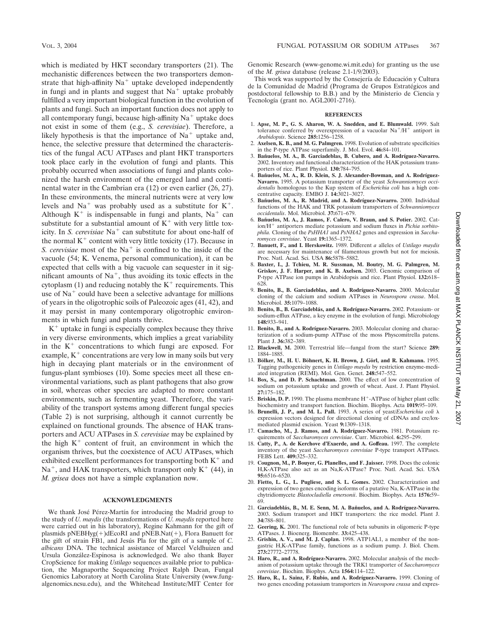which is mediated by HKT secondary transporters (21). The mechanistic differences between the two transporters demonstrate that high-affinity  $Na<sup>+</sup>$  uptake developed independently in fungi and in plants and suggest that  $Na<sup>+</sup>$  uptake probably fulfilled a very important biological function in the evolution of plants and fungi. Such an important function does not apply to all contemporary fungi, because high-affinity  $Na<sup>+</sup>$  uptake does not exist in some of them (e.g., *S. cerevisiae*). Therefore, a likely hypothesis is that the importance of  $Na<sup>+</sup>$  uptake and, hence, the selective pressure that determined the characteristics of the fungal ACU ATPases and plant HKT transporters took place early in the evolution of fungi and plants. This probably occurred when associations of fungi and plants colonized the harsh environment of the emerged land and continental water in the Cambrian era (12) or even earlier (26, 27). In these environments, the mineral nutrients were at very low levels and  $Na<sup>+</sup>$  was probably used as a substitute for  $K<sup>+</sup>$ . Although  $K^+$  is indispensable in fungi and plants, Na<sup>+</sup> can substitute for a substantial amount of  $K^+$  with very little toxicity. In *S. cerevisiae* Na<sup>+</sup> can substitute for about one-half of the normal  $K^+$  content with very little toxicity (17). Because in *S. cerevisiae* most of the Na<sup>+</sup> is confined to the inside of the vacuole (54; K. Venema, personal communication), it can be expected that cells with a big vacuole can sequester in it significant amounts of  $Na<sup>+</sup>$ , thus avoiding its toxic effects in the cytoplasm (1) and reducing notably the  $K^+$  requirements. This use of  $Na<sup>+</sup>$  could have been a selective advantage for millions of years in the oligotrophic soils of Paleozoic ages (41, 42), and it may persist in many contemporary oligotrophic environments in which fungi and plants thrive.

 $K<sup>+</sup>$  uptake in fungi is especially complex because they thrive in very diverse environments, which implies a great variability in the  $K<sup>+</sup>$  concentrations to which fungi are exposed. For example,  $K^+$  concentrations are very low in many soils but very high in decaying plant materials or in the environment of fungus-plant symbioses (10). Some species meet all these environmental variations, such as plant pathogens that also grow in soil, whereas other species are adapted to more constant environments, such as fermenting yeast. Therefore, the variability of the transport systems among different fungal species (Table 2) is not surprising, although it cannot currently be explained on functional grounds. The absence of HAK transporters and ACU ATPases in *S. cerevisiae* may be explained by the high  $K<sup>+</sup>$  content of fruit, an environment in which the organism thrives, but the coexistence of ACU ATPases, which exhibited excellent performances for transporting both  $K^+$  and  $Na<sup>+</sup>$ , and HAK transporters, which transport only K<sup>+</sup> (44), in *M. grisea* does not have a simple explanation now.

## **ACKNOWLEDGMENTS**

We thank José Pérez-Martín for introducing the Madrid group to the study of *U. maydis* (the transformations of *U. maydis* reported here were carried out in his laboratory), Regine Kahmann for the gift of plasmids  $pNEBHyg(+)dEcoRI$  and  $pNEB.Nat(+)$ , Flora Banuett for the gift of strain FB1, and Jesu´s Pla for the gift of a sample of *C. albicans* DNA. The technical assistance of Marcel Veldhuizen and Ursula González-Espinosa is acknowledged. We also thank Bayer CropScience for making *Ustilago* sequences available prior to publication, the Magnaporthe Sequencing Project Ralph Dean, Fungal Genomics Laboratory at North Carolina State University (www.fungalgenomics.ncsu.edu), and the Whitehead Institute/MIT Center for

Genomic Research (www-genome.wi.mit.edu) for granting us the use of the *M. grisea* database (release 2.1-1/9/2003).

This work was supported by the Consejería de Educación y Cultura de la Comunidad de Madrid (Programa de Grupos Estratégicos and postdoctoral fellowship to B.B.) and by the Ministerio de Ciencia y Tecnología (grant no. AGL2001-2716).

### **REFERENCES**

- 1. **Apse, M. P., G. S. Aharon, W. A. Snedden, and E. Blumwald.** 1999. Salt tolerance conferred by overexpression of a vacuolar  $Na^{+}/H^{+}$  antiport in *Arabidopsis*. Science **285:**1256–1258.
- 2. **Axelsen, K. B., and M. G. Palmgren.** 1998. Evolution of substrate specificities in the P-type ATPase superfamily. J. Mol. Evol. **46:**84–101.
- 3. **Ban˜uelos, M. A., B. Garciadeblas, B. Cubero, and A. Rodríguez-Navarro.** 2002. Inventory and functional characterization of the HAK potassium transporters of rice. Plant Physiol. **130:**784–795.
- 4. **Ban˜uelos, M. A., R. D. Klein, S. J. Alexander-Bowman, and A. Rodríguez-Navarro.** 1995. A potassium transporter of the yeast *Schwanniomyces occidentalis* homologous to the Kup system of *Escherichia coli* has a high concentrative capacity. EMBO J. **14:**3021–3027.
- 5. **Ban˜uelos, M. A., R. Madrid, and A. Rodríguez-Navarro.** 2000. Individual functions of the HAK and TRK potassium transporters of *Schwanniomyces occidentalis*. Mol. Microbiol. **37:**671–679.
- 6. **Ban˜uelos, M. A., J. Ramos, F. Calero, V. Braun, and S. Potier.** 2002. Cation/H<sup>+</sup> antiporters mediate potassium and sodium fluxes in *Pichia sorbito-*<br>*phila*. Cloning of the *PsHHA1* and *PsNHA2* genes and expression in *Saccharomyces cerevisiae*. Yeast **19:**1365–1372.
- 7. **Banuett, F., and I. Herskowitz.** 1989. Different *a* alleles of *Ustilago maydis* are necessary for maintenance of filamentous growth but not for meiosis. Proc. Natl. Acad. Sci. USA **86:**5878–5882.
- 8. **Baxter, I., J. Tchieu, M. R. Sussman, M. Boutry, M. G. Palmgren, M. Griskov, J. F. Harper, and K. B. Axelsen.** 2003. Genomic comparison of P-type ATPase ion pumps in Arabidopsis and rice. Plant Physiol. **132:**618– 628.
- 9. **Benito, B., B. Garciadeblas, and A. Rodríguez-Navarro.** 2000. Molecular cloning of the calcium and sodium ATPases in *Neurospora crassa*. Mol. Microbiol. **35:**1079–1088.
- 10. **Benito, B., B. Garciadebla´s, and A. Rodríguez-Navarro.** 2002. Potassium- or sodium-efflux ATPase, a key enzyme in the evolution of fungi. Microbiology **148:**933–941.
- 11. **Benito, B., and A. Rodríguez-Navarro.** 2003. Molecular cloning and characterization of a sodium-pump ATPase of the moss Physcomitrella patens. Plant J. **36:**382–389.
- 12. **Blackwell, M.** 2000. Terrestrial life—fungal from the start? Science **289:** 1884–1885.
- 13. Bölker, M., H. U. Böhnert, K. H. Brown, J. Görl, and R. Kahmann. 1995. Tagging pathogenicity genes in *Ustilago maydis* by restriction enzyme-mediated integration (REMI). Mol. Gen. Genet. **248:**547–552.
- 14. **Box, S., and D. P. Schachtman.** 2000. The effect of low concentration of sodium on potassium uptake and growth of wheat. Aust. J. Plant Physiol. **27:**175–182.
- 15. Briskin, D. P. 1990. The plasma membrane H<sup>+</sup>-ATPase of higher plant cells: biochemistry and transport function. Biochim. Biophys. Acta **1019:**95–109.
- 16. **Brunelli, J. P., and M. L. Pall.** 1993. A series of yeast/*Escherichia coli* expression vectors designed for directional cloning of cDNAs and cre/loxmediated plasmid excision. Yeast **9:**1309–1318.
- 17. **Camacho, M., J. Ramos, and A. Rodríguez-Navarro.** 1981. Potassium requirements of *Saccharomyces cerevisiae*. Curr. Microbiol. **6:**295–299.
- 18. **Catty, P., A. de Kerchove d'Exaerde, and A. Goffeau.** 1997. The complete inventory of the yeast *Saccharomyces cerevisiae* P-type transport ATPases. FEBS Lett. **409:**325–332.
- 19. **Cougnon, M., P. Bouyer, G. Planelles, and F. Jaisser.** 1998. Does the colonic H,K-ATPase also act as an Na,K-ATPase? Proc. Natl. Acad. Sci. USA **95:**6516–6520.
- 20. **Fietto, L. G., L. Pugliese, and S. L. Gomes.** 2002. Characterization and expression of two genes encoding isoforms of a putative Na, K-ATPase in the chytridiomycete *Blastocladiella emersonii*. Biochim. Biophys. Acta **1576:**59– 69.
- 21. **Garciadebla´s, B., M. E. Senn, M. A. Ban˜uelos, and A. Rodríguez-Navarro.** 2003. Sodium transport and HKT transporters: the rice model. Plant J. **34:**788–801.
- 22. **Geering, K.** 2001. The functional role of beta subunits in oligomeric P-type ATPases. J. Bioenerg. Biomembr. **33:**425–438.
- 23. **Grishin, A. V., and M. J. Caplan.** 1998. ATP1AL1, a member of the nongastric H,K-ATPase family, functions as a sodium pump. J. Biol. Chem. **273:**27772–27778.
- 24. **Haro, R., and A. Rodríguez-Navarro.** 2002. Molecular analysis of the mechanism of potassium uptake through the TRK1 transporter of *Saccharomyces cerevisiae*. Biochim. Biophys. Acta **1564:**114–122.
- 25. **Haro, R., L. Sainz, F. Rubio, and A. Rodríguez-Navarro.** 1999. Cloning of two genes encoding potassium transporters in *Neurospora crassa* and expres-